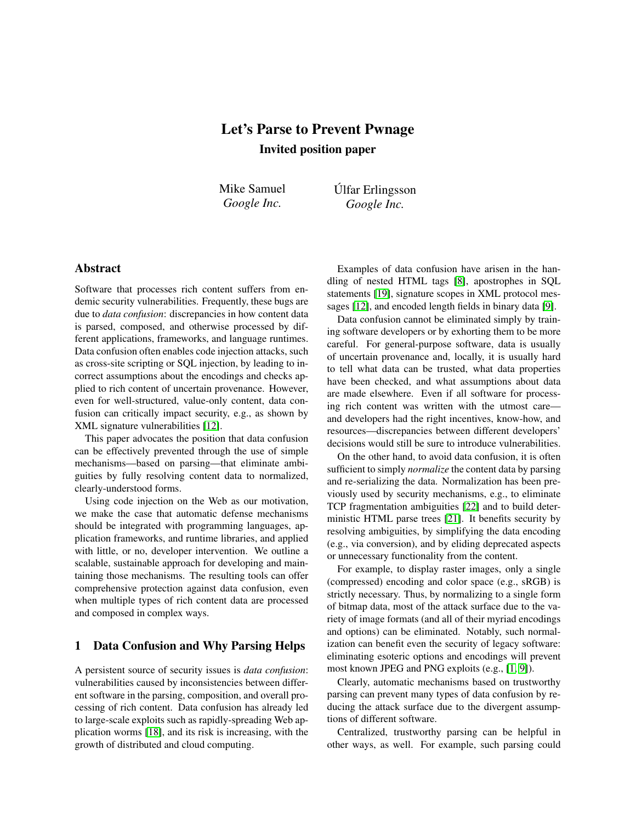# Let's Parse to Prevent Pwnage Invited position paper

Mike Samuel *Google Inc.*

Úlfar Erlingsson *Google Inc.*

## Abstract

Software that processes rich content suffers from endemic security vulnerabilities. Frequently, these bugs are due to *data confusion*: discrepancies in how content data is parsed, composed, and otherwise processed by different applications, frameworks, and language runtimes. Data confusion often enables code injection attacks, such as cross-site scripting or SQL injection, by leading to incorrect assumptions about the encodings and checks applied to rich content of uncertain provenance. However, even for well-structured, value-only content, data confusion can critically impact security, e.g., as shown by XML signature vulnerabilities [\[12\]](#page-3-0).

This paper advocates the position that data confusion can be effectively prevented through the use of simple mechanisms—based on parsing—that eliminate ambiguities by fully resolving content data to normalized, clearly-understood forms.

Using code injection on the Web as our motivation, we make the case that automatic defense mechanisms should be integrated with programming languages, application frameworks, and runtime libraries, and applied with little, or no, developer intervention. We outline a scalable, sustainable approach for developing and maintaining those mechanisms. The resulting tools can offer comprehensive protection against data confusion, even when multiple types of rich content data are processed and composed in complex ways.

## 1 Data Confusion and Why Parsing Helps

A persistent source of security issues is *data confusion*: vulnerabilities caused by inconsistencies between different software in the parsing, composition, and overall processing of rich content. Data confusion has already led to large-scale exploits such as rapidly-spreading Web application worms [\[18\]](#page-3-1), and its risk is increasing, with the growth of distributed and cloud computing.

Examples of data confusion have arisen in the handling of nested HTML tags [\[8\]](#page-3-2), apostrophes in SQL statements [\[19\]](#page-3-3), signature scopes in XML protocol messages [\[12\]](#page-3-0), and encoded length fields in binary data [\[9\]](#page-3-4).

Data confusion cannot be eliminated simply by training software developers or by exhorting them to be more careful. For general-purpose software, data is usually of uncertain provenance and, locally, it is usually hard to tell what data can be trusted, what data properties have been checked, and what assumptions about data are made elsewhere. Even if all software for processing rich content was written with the utmost care and developers had the right incentives, know-how, and resources—discrepancies between different developers' decisions would still be sure to introduce vulnerabilities.

On the other hand, to avoid data confusion, it is often sufficient to simply *normalize* the content data by parsing and re-serializing the data. Normalization has been previously used by security mechanisms, e.g., to eliminate TCP fragmentation ambiguities [\[22\]](#page-3-5) and to build deterministic HTML parse trees [\[21\]](#page-3-6). It benefits security by resolving ambiguities, by simplifying the data encoding (e.g., via conversion), and by eliding deprecated aspects or unnecessary functionality from the content.

For example, to display raster images, only a single (compressed) encoding and color space (e.g., sRGB) is strictly necessary. Thus, by normalizing to a single form of bitmap data, most of the attack surface due to the variety of image formats (and all of their myriad encodings and options) can be eliminated. Notably, such normalization can benefit even the security of legacy software: eliminating esoteric options and encodings will prevent most known JPEG and PNG exploits (e.g., [\[1,](#page-3-7) [9\]](#page-3-4)).

Clearly, automatic mechanisms based on trustworthy parsing can prevent many types of data confusion by reducing the attack surface due to the divergent assumptions of different software.

Centralized, trustworthy parsing can be helpful in other ways, as well. For example, such parsing could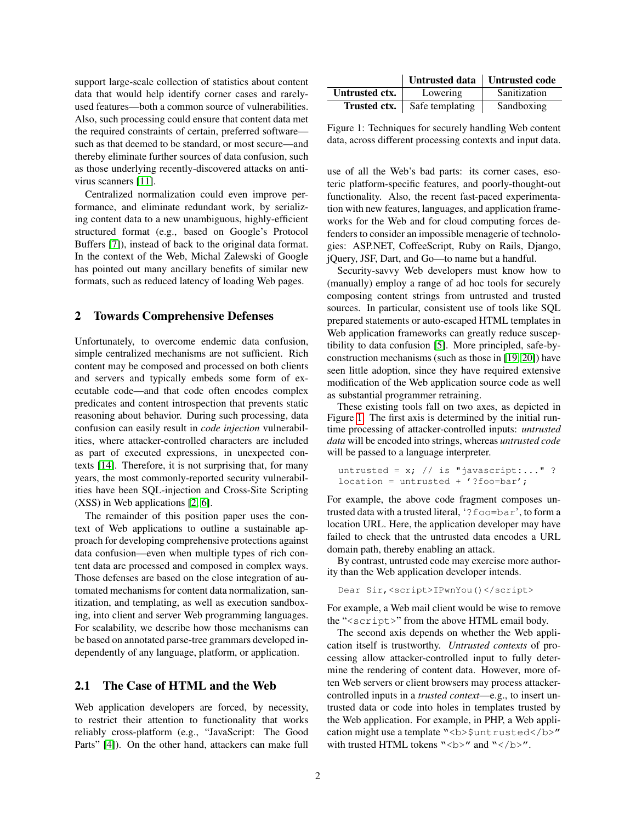support large-scale collection of statistics about content data that would help identify corner cases and rarelyused features—both a common source of vulnerabilities. Also, such processing could ensure that content data met the required constraints of certain, preferred software such as that deemed to be standard, or most secure—and thereby eliminate further sources of data confusion, such as those underlying recently-discovered attacks on antivirus scanners [\[11\]](#page-3-8).

Centralized normalization could even improve performance, and eliminate redundant work, by serializing content data to a new unambiguous, highly-efficient structured format (e.g., based on Google's Protocol Buffers [\[7\]](#page-3-9)), instead of back to the original data format. In the context of the Web, Michal Zalewski of Google has pointed out many ancillary benefits of similar new formats, such as reduced latency of loading Web pages.

#### 2 Towards Comprehensive Defenses

Unfortunately, to overcome endemic data confusion, simple centralized mechanisms are not sufficient. Rich content may be composed and processed on both clients and servers and typically embeds some form of executable code—and that code often encodes complex predicates and content introspection that prevents static reasoning about behavior. During such processing, data confusion can easily result in *code injection* vulnerabilities, where attacker-controlled characters are included as part of executed expressions, in unexpected contexts [\[14\]](#page-3-10). Therefore, it is not surprising that, for many years, the most commonly-reported security vulnerabilities have been SQL-injection and Cross-Site Scripting (XSS) in Web applications [\[2,](#page-3-11) [6\]](#page-3-12).

The remainder of this position paper uses the context of Web applications to outline a sustainable approach for developing comprehensive protections against data confusion—even when multiple types of rich content data are processed and composed in complex ways. Those defenses are based on the close integration of automated mechanisms for content data normalization, sanitization, and templating, as well as execution sandboxing, into client and server Web programming languages. For scalability, we describe how those mechanisms can be based on annotated parse-tree grammars developed independently of any language, platform, or application.

## 2.1 The Case of HTML and the Web

Web application developers are forced, by necessity, to restrict their attention to functionality that works reliably cross-platform (e.g., "JavaScript: The Good Parts" [\[4\]](#page-3-13)). On the other hand, attackers can make full

|                | Untrusted data   Untrusted code |              |
|----------------|---------------------------------|--------------|
| Untrusted ctx. | Lowering                        | Sanitization |
| Trusted ctx.   | Safe templating                 | Sandboxing   |

<span id="page-1-0"></span>Figure 1: Techniques for securely handling Web content data, across different processing contexts and input data.

use of all the Web's bad parts: its corner cases, esoteric platform-specific features, and poorly-thought-out functionality. Also, the recent fast-paced experimentation with new features, languages, and application frameworks for the Web and for cloud computing forces defenders to consider an impossible menagerie of technologies: ASP.NET, CoffeeScript, Ruby on Rails, Django, jQuery, JSF, Dart, and Go—to name but a handful.

Security-savvy Web developers must know how to (manually) employ a range of ad hoc tools for securely composing content strings from untrusted and trusted sources. In particular, consistent use of tools like SQL prepared statements or auto-escaped HTML templates in Web application frameworks can greatly reduce susceptibility to data confusion [\[5\]](#page-3-14). More principled, safe-byconstruction mechanisms (such as those in [\[19,](#page-3-3) [20\]](#page-3-15)) have seen little adoption, since they have required extensive modification of the Web application source code as well as substantial programmer retraining.

These existing tools fall on two axes, as depicted in Figure [1.](#page-1-0) The first axis is determined by the initial runtime processing of attacker-controlled inputs: *untrusted data* will be encoded into strings, whereas *untrusted code* will be passed to a language interpreter.

```
untrusted = x; // is "javascript:..." ?
location = untrusted + '?foo=bar';
```
For example, the above code fragment composes untrusted data with a trusted literal, '?foo=bar', to form a location URL. Here, the application developer may have failed to check that the untrusted data encodes a URL domain path, thereby enabling an attack.

By contrast, untrusted code may exercise more authority than the Web application developer intends.

Dear Sir,<script>IPwnYou()</script>

For example, a Web mail client would be wise to remove the "<script>" from the above HTML email body.

The second axis depends on whether the Web application itself is trustworthy. *Untrusted contexts* of processing allow attacker-controlled input to fully determine the rendering of content data. However, more often Web servers or client browsers may process attackercontrolled inputs in a *trusted context*—e.g., to insert untrusted data or code into holes in templates trusted by the Web application. For example, in PHP, a Web application might use a template "<br/>b>\$untrusted</b>" with trusted HTML tokens "**" and "** $**^**$ **".**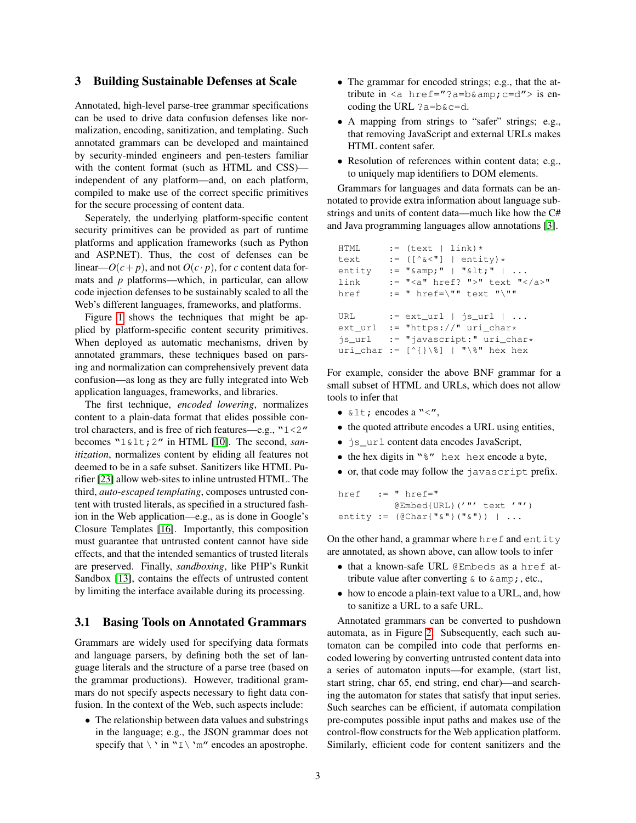### 3 Building Sustainable Defenses at Scale

Annotated, high-level parse-tree grammar specifications can be used to drive data confusion defenses like normalization, encoding, sanitization, and templating. Such annotated grammars can be developed and maintained by security-minded engineers and pen-testers familiar with the content format (such as HTML and CSS) independent of any platform—and, on each platform, compiled to make use of the correct specific primitives for the secure processing of content data.

Seperately, the underlying platform-specific content security primitives can be provided as part of runtime platforms and application frameworks (such as Python and ASP.NET). Thus, the cost of defenses can be linear— $O(c+p)$ , and not  $O(c \cdot p)$ , for *c* content data formats and *p* platforms—which, in particular, can allow code injection defenses to be sustainably scaled to all the Web's different languages, frameworks, and platforms.

Figure [1](#page-1-0) shows the techniques that might be applied by platform-specific content security primitives. When deployed as automatic mechanisms, driven by annotated grammars, these techniques based on parsing and normalization can comprehensively prevent data confusion—as long as they are fully integrated into Web application languages, frameworks, and libraries.

The first technique, *encoded lowering*, normalizes content to a plain-data format that elides possible control characters, and is free of rich features—e.g., "1<2" becomes "1&1t; 2" in HTML [\[10\]](#page-3-16). The second, *sanitization*, normalizes content by eliding all features not deemed to be in a safe subset. Sanitizers like HTML Purifier [\[23\]](#page-3-17) allow web-sites to inline untrusted HTML. The third, *auto-escaped templating*, composes untrusted content with trusted literals, as specified in a structured fashion in the Web application—e.g., as is done in Google's Closure Templates [\[16\]](#page-3-18). Importantly, this composition must guarantee that untrusted content cannot have side effects, and that the intended semantics of trusted literals are preserved. Finally, *sandboxing*, like PHP's Runkit Sandbox [\[13\]](#page-3-19), contains the effects of untrusted content by limiting the interface available during its processing.

### 3.1 Basing Tools on Annotated Grammars

Grammars are widely used for specifying data formats and language parsers, by defining both the set of language literals and the structure of a parse tree (based on the grammar productions). However, traditional grammars do not specify aspects necessary to fight data confusion. In the context of the Web, such aspects include:

• The relationship between data values and substrings in the language; e.g., the JSON grammar does not specify that  $\langle \cdot \rangle$  in "I $\langle \cdot \rangle$ " encodes an apostrophe.

- The grammar for encoded strings; e.g., that the attribute in  $\langle a \rangle$  href="?a=b& c=d"> is encoding the URL  $?a=b@c=d$ .
- A mapping from strings to "safer" strings; e.g., that removing JavaScript and external URLs makes HTML content safer.
- Resolution of references within content data; e.g., to uniquely map identifiers to DOM elements.

Grammars for languages and data formats can be annotated to provide extra information about language substrings and units of content data—much like how the C# and Java programming languages allow annotations [\[3\]](#page-3-20).

```
HTML := (text | link) *
text := ([\hat{c} \times \hat{c}]] | entity) *
entity := " \& ; " | " \< ; " | ...link := "<a" href? ">" text "</a>"
href := " \text{href} = \n \sqrt{\cdots} \text{text} \quad \sqrt{\cdots}URL := ext\_url \mid js\_url \mid ...ext_url := "https://" uri_char*
js_url := "javascript:" uri_char*
uri_char := [^{\wedge} \{\} \ ] | "\" hex hex
```
For example, consider the above BNF grammar for a small subset of HTML and URLs, which does not allow tools to infer that

- $\&$  lt; encodes a "<",
- the quoted attribute encodes a URL using entities,
- is url content data encodes JavaScript,
- the hex digits in  $\sqrt{8}$ " hex hex encode a byte,
- or, that code may follow the javascript prefix.

```
href := " href="
         @Embed{URL}('"' text '"')
entity := (@Char{"&"}("&")) | ...
```
On the other hand, a grammar where href and entity are annotated, as shown above, can allow tools to infer

- that a known-safe URL @Embeds as a href attribute value after converting  $\&$  to  $\&$  amp;, etc.,
- how to encode a plain-text value to a URL, and, how to sanitize a URL to a safe URL.

Annotated grammars can be converted to pushdown automata, as in Figure [2.](#page-3-21) Subsequently, each such automaton can be compiled into code that performs encoded lowering by converting untrusted content data into a series of automaton inputs—for example, (start list, start string, char 65, end string, end char)—and searching the automaton for states that satisfy that input series. Such searches can be efficient, if automata compilation pre-computes possible input paths and makes use of the control-flow constructs for the Web application platform. Similarly, efficient code for content sanitizers and the